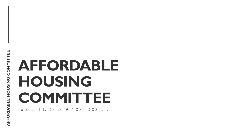1

# **AFFORDABLE HOUSING COMMITTEE**

Tuesday, July 30, 2019, 1:00 - 3:00 p.m.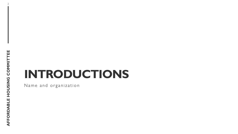# **INTRODUCTIONS**

Name and organization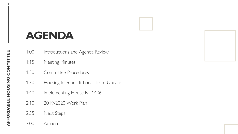## **AGENDA**

- 1:00 Introductions and Agenda Review
- 1:15 Meeting Minutes
- 1:20 Committee Procedures
- 1:30 Housing Interjurisdictional Team Update
- 1:40 Implementing House Bill 1406
- 2:10 2019-2020 Work Plan
- 2:55 Next Steps
- 3:00 Adjourn

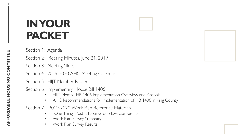## **IN YOUR PACKET**

Section 1: Agenda

Section 2: Meeting Minutes, June 21, 2019

Section 3: Meeting Slides

Section 4: 2019-2020 AHC Meeting Calendar

Section 5: HIJT Member Roster

Section 6: Implementing House Bill 1406

- HIJT Memo: HB 1406 Implementation Overview and Analysis
- AHC Recommendations for Implementation of HB 1406 in King County

Section 7: 2019-2020 Work Plan Reference Materials

- "One Thing" Post-it Note Group Exercise Results
- Work Plan Survey Summary
- Work Plan Survey Results

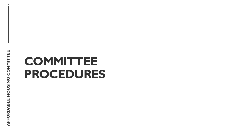5

## **COMMITTEE PROCEDURES**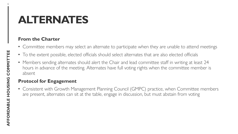### **ALTERNATES**

### **From the Charter**

- Committee members may select an alternate to participate when they are unable to attend meetings
- To the extent possible, elected officials should select alternates that are also elected officials
- Members sending alternates should alert the Chair and lead committee staff in writing at least 24 hours in advance of the meeting. Alternates have full voting rights when the committee member is absent

### **Protocol for Engagement**

• Consistent with Growth Management Planning Council (GMPC) practice, when Committee members are present, alternates can sit at the table, engage in discussion, but must abstain from voting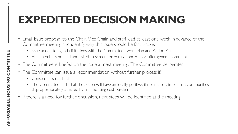## **EXPEDITED DECISION MAKING**

- Email issue proposal to the Chair, Vice Chair, and staff lead at least one week in advance of the Committee meeting and identify why this issue should be fast-tracked
	- Issue added to agenda if it aligns with the Committee's work plan and Action Plan
	- HIJT members notified and asked to screen for equity concerns or offer general comment
- The Committee is briefed on the issue at next meeting. The Committee deliberates
- The Committee can issue a recommendation without further process if:
	- Consensus is reached
	- The Committee finds that the action will have an ideally positive, if not neutral, impact on communities disproportionately affected by high housing cost burden
- If there is a need for further discussion, next steps will be identified at the meeting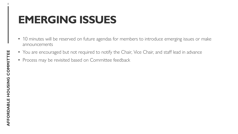## **EMERGING ISSUES**

- 10 minutes will be reserved on future agendas for members to introduce emerging issues or make announcements
- You are encouraged but not required to notify the Chair, Vice Chair, and staff lead in advance
- Process may be revisited based on Committee feedback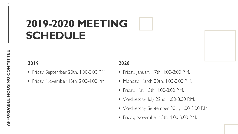## **2019-2020 MEETING SCHEDULE**

### **2019**

- Friday, September 20th, 1:00-3:00 P.M.
- Friday, November 15th, 2:00-4:00 P.M.

### **2020**

- Friday, January 17th, 1:00-3:00 P.M.
- Monday, March 30th, 1:00-3:00 P.M.
- Friday, May 15th, 1:00-3:00 P.M.
- Wednesday, July 22nd, 1:00-3:00 P.M.
- Wednesday, September 30th, 1:00-3:00 P.M.
- Friday, November 13th, 1:00-3:00 P.M.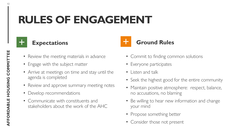## **RULES OF ENGAGEMENT**



- Review the meeting materials in advance
- Engage with the subject matter
- Arrive at meetings on time and stay until the agenda is completed
- Review and approve summary meeting notes
- Develop recommendations
- Communicate with constituents and stakeholders about the work of the AHC
- Commit to finding common solutions
- Everyone participates
- Listen and talk
- Seek the highest good for the entire community
- Maintain positive atmosphere: respect, balance, no accusations, no blaming
- Be willing to hear new information and change your mind
- Propose something better
- Consider those not present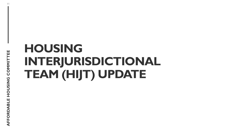11

## **HOUSING INTERJURISDICTIONAL TEAM (HIJT) UPDATE**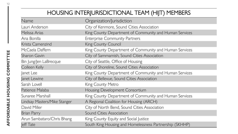### HOUSING INTERJURISDICTIONAL TEAM (HIJT) MEMBERS

| Name                         | Organization/Jurisdiction                               |
|------------------------------|---------------------------------------------------------|
| Lauri Anderson               | City of Kenmore, Sound Cities Association               |
| Melissa Arias                | King County Department of Community and Human Services  |
| Ana Bonilla                  | <b>Enterprise Community Partners</b>                    |
| Krista Camenzind             | King County Council                                     |
| McCaela Daffern              | King County Department of Community and Human Services  |
| <b>Sharon Gavin</b>          | City of Sammamish, Sound Cities Association             |
| Bin Jung/Jen LaBrecque       | City of Seattle, Office of Housing                      |
| Colleen Kelly                | City of Shoreline, Sound Cities Association             |
| Janet Lee                    | King County Department of Community and Human Services  |
| Janet Lewine                 | City of Bellevue, Sound Cities Association              |
| Sarah Lovell                 | King County Metro                                       |
| Patience Malaba              | Housing Development Consortium                          |
| Sunaree Marshall             | King County Department of Community and Human Services  |
| Lindsay Masters/Mike Stanger | A Regional Coalition for Housing (ARCH)                 |
| David Miller                 | City of North Bend, Sound Cities Association            |
| <b>Brian Parry</b>           | <b>Sound Cities Association</b>                         |
| Arun Sambataro/Chris Bhang   | King County Equity and Social Justice                   |
| Jeff Tate                    | South King Housing and Homelessness Partnership (SKHHP) |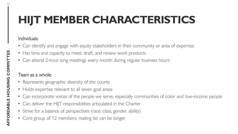## **HIJT MEMBER CHARACTERISTICS**

### Individuals:

- Can identify and engage with equity stakeholders in their community or area of expertise
- Has time and capacity to meet, draft, and review work products
- Can attend 2-hour long meetings every month during regular business hours

### Team as a whole:

- Represents geographic diversity of the county
- Holds expertise relevant to all seven goal areas
- Can incorporate voices of the people we serve, especially communities of color and low-income people
- Can deliver the HIJT responsibilities articulated in the Charter
- Strive for a balance of perspectives (race, class, gender, ability)
- Core group of 12 members; mailing list can be longer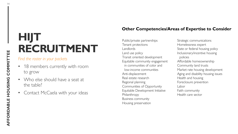## **HIJT RECRUITMENT**

#### *Find the roster in your packets*

- 18 members currently with room to grow
- Who else should have a seat at the table?
- Contact McCaela with your ideas

#### **Other Competencies/Areas of Expertise to Consider**

Public/private partnerships Tenant protections Landlords Land use policy Transit oriented development Equitable community engagement in communities of color and low-income communities Anti-displacement Real estate research Regional planning Communities of Opportunity Equitable Development Initiative Philanthropy Business community Housing preservation

Strategic communications Homelessness expert State or federal housing policy Inclusionary/incentive housing policies Affordable homeownership Community land trusts Market rate housing development Aging and disability housing issues Health and housing Foreclosure prevention Labor Faith community Health care sector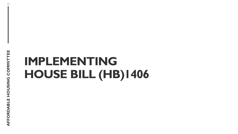## **IMPLEMENTING HOUSE BILL (HB)1406**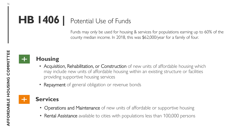## **HB 1406 |** Potential Use of Funds

Funds may only be used for housing & services for populations earning up to 60% of the county median income. In 2018, this was \$62,000/year for a family of four.

AFFORDABLE HOUSING COMMITTEE

### **Housing**

- Acquisition, Rehabilitation, or Construction of new units of affordable housing which may include new units of affordable housing within an existing structure or facilities providing supportive housing services
- Repayment of general obligation or revenue bonds

### **Services**

- Operations and Maintenance of new units of affordable or supportive housing
- Rental Assistance available to cities with populations less than 100,000 persons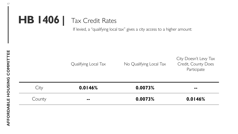## **HB 1406 |** Tax Credit Rates

If levied, a "qualifying local tax" gives a city access to a higher amount:

|        | Qualifying Local Tax | No Qualifying Local Tax | City Doesn't Levy Tax<br>Credit, County Does<br>Participate |
|--------|----------------------|-------------------------|-------------------------------------------------------------|
| City   | 0.0146%              | 0.0073%                 | $\blacksquare$                                              |
| County | $\sim$ $\sim$        | 0.0073%                 | 0.0146%                                                     |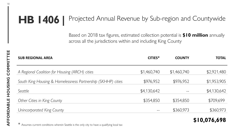### **HB 1406 |** Projected Annual Revenue by Sub-region and Countywide

Based on 2018 tax figures, estimated collection potential is **\$10 million** annually across all the jurisdictions within and including King County

**\$10,076,698**

| CITIES*     | <b>COUNTY</b> | <b>TOTAL</b> |
|-------------|---------------|--------------|
| \$1,460,740 | \$1,460,740   | \$2,921,480  |
| \$976,952   | \$976,952     | \$1,953,905  |
| \$4,130,642 |               | \$4,130,642  |
| \$354,850   | \$354,850     | \$709,699    |
|             | \$360,973     | \$360,973    |
|             |               |              |

\* Assumes current conditions wherein Seattle is the only city to have a qualifying local tax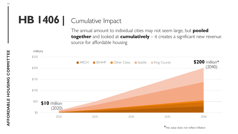## HB 1406 | Cumulative Impact

The annual amount to individual cities may not seem large, but **pooled together** and looked at **cumulatively** – it creates a significant new revenue source for affordable housing

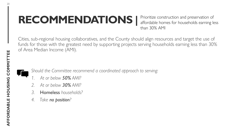## **RECOMMENDATIONS |**

Prioritize construction and preservation of affordable homes for households earning less than 30% AMI

Cities, sub-regional housing collaboratives, and the County should align resources and target the use of funds for those with the greatest need by supporting projects serving households earning less than 30% of Area Median Income (AMI).

*Should the Committee recommend a coordinated approach to serving:* 

- *1. At or below 50% AMI?*
- *2. At or below 30% AMI?*
- *3.* Homeless *households?*
- *4. Take no position?*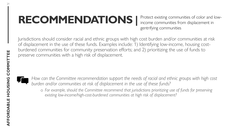## RECOMMENDATIONS | Protect existing communities of color and low-

income communities from displacement in gentrifying communities

Jurisdictions should consider racial and ethnic groups with high cost burden and/or communities at risk of displacement in the use of these funds. Examples include: 1) Identifying low-income, housing costburdened communities for community preservation efforts; and 2) prioritizing the use of funds to preserve communities with a high risk of displacement.



*How can the Committee recommendation support the needs of racial and ethnic groups with high cost burden and/or communities at risk of displacement in the use of these funds?* 

o *For example, should the Committee recommend that jurisdictions prioritizing use of funds for preserving existing low-income/high-cost-burdened communities at high risk of displacement?*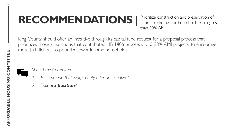## **RECOMMENDATIONS |**

Prioritize construction and preservation of affordable homes for households earning less than 30% AMI

King County should offer an incentive through its capital fund request for a proposal process that prioritizes those jurisdictions that contributed HB 1406 proceeds to 0-30% AMI projects, to encourage more jurisdictions to prioritize lower income households.

### *Should the Committee:*

- *1. Recommend that King County offer an incentive?*
- *2. Take no position?*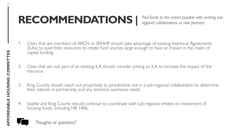## RECOMMENDATIONS | <sup>Pool funds to the extent possible with existing sub-</sup>

*regional collaborations or new partners*

- 1. Cities that are members of ARCH or SKHHP should take advantage of existing Interlocal Agreements (ILAs) to pool their resources to create fund sources large enough to have an impact in the realm of capital funding.
- 2. Cities that are not part of an existing ILA should consider joining an ILA to increase the impact of the resource.
- 3. King County should reach out proactively to jurisdictions not in a sub-regional collaboration to determine their interest in partnership and any technical assistance needs.
- 4. Seattle and King County should continue to coordinate with sub-regional entities on investment of housing funds, including HB 1406.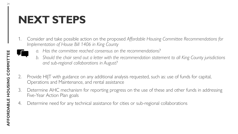### **NEXT STEPS**

- 1. Consider and take possible action on the proposed *Affordable Housing Committee Recommendations for Implementation of House Bill 1406 in King County*
	- *a. Has the committee reached consensus on the recommendations?*
	- *b. Should the chair send out a letter with the recommendation statement to all King County jurisdictions and sub-regional collaborations in August?*
- 2. Provide HIJT with guidance on any additional analysis requested, such as: use of funds for capital, Operations and Maintenance, and rental assistance
- 3. Determine AHC mechanism for reporting progress on the use of these and other funds in addressing Five-Year Action Plan goals
- 4. Determine need for any technical assistance for cities or sub-regional collaborations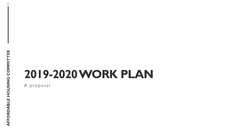## **2019-2020 WORK PLAN**

A proposal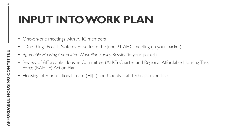## **INPUT INTO WORK PLAN**

- One-on-one meetings with AHC members
- "One thing" Post-it Note exercise from the June 21 AHC meeting (in your packet)
- Affordable Housing Committee Work Plan Survey Results (in your packet)
- Review of Affordable Housing Committee (AHC) Charter and Regional Affordable Housing Task Force (RAHTF) Action Plan
- Housing Interjurisdictional Team (HIJT) and County staff technical expertise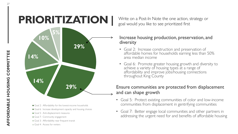## Write on a Post-In Note the one action, strategy or **PRIORITIZATION |** goal would you like to see prioritized first



- Goal 2: Affordability for the lowest-income households
- Goal 6: Increase development capacity and housing choices
- Goal 5: Anti-displacement measures
- Goal 7: Community engagement
- Goal 3: Affordability near frequent transit
- Goal 4: Access for renters

#### Increase housing production, preservation, and diversity

- Goal 2: Increase construction and preservation of affordable homes for households earning less than 50% area median income
- Goal 6: Promote greater housing growth and diversity to achieve a variety of housing types at a range of affordability and improve jobs/housing connections throughout King County

### Ensure communities are protected from displacement and can shape growth

- Goal 5: Protect existing communities of color and low-income communities from displacement in gentrifying communities
- Goal 7: Better engage local communities and other partners in addressing the urgent need for and benefits of affordable housing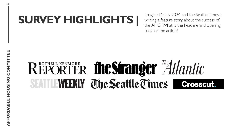## **SURVEY HIGHLIGHTS** | Imagine it's July 2024 and the Seattle Times is

writing a feature story about the success of the AHC. What is the headline and opening lines for the article?

# REPORTER the Stranger "Atlantic SEATT EWEEKLY The Seattle Times | Grosseut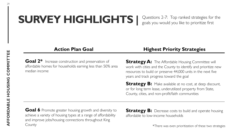## **SURVEY HIGHLIGHTS |**

Questions 2-7: Top ranked strategies for the goals you would you like to prioritize first

Goal 2<sup>\*</sup> Increase construction and preservation of affordable homes for households earning less than 50% area median income

#### **Action Plan Goal Highest Priority Strategies**

**Strategy A:** The Affordable Housing Committee will work with cities and the County to identify and prioritize new resources to build or preserve 44,000 units in the next five years and track progress toward the goal

**Strategy B:** Make available at no cost, at deep discount, or for long term lease, underutilized property from State, County, cities, and non-profit/faith communities

Goal 6 Promote greater housing growth and diversity to achieve a variety of housing types at a range of affordability and improve jobs/housing connections throughout King **County** 

**Strategy B:** Decrease costs to build and operate housing affordable to low-income households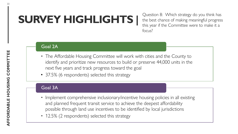## **SURVEY HIGHLIGHTS |**

Question 8: Which strategy do you think has the best chance of making meaningful progress this year if the Committee were to make it a focus?

#### Goal 2A

- The Affordable Housing Committee will work with cities and the County to identify and prioritize new resources to build or preserve 44,000 units in the next five years and track progress toward the goal
- 37.5% (6 respondents) selected this strategy

#### Goal 3A

- Implement comprehensive inclusionary/incentive housing policies in all existing and planned frequent transit service to achieve the deepest affordability possible through land use incentives to be identified by local jurisdictions
- 12.5% (2 respondents) selected this strategy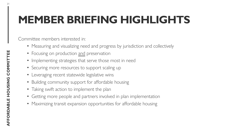## **MEMBER BRIEFING HIGHLIGHTS**

Committee members interested in:

- Measuring and visualizing need and progress by jurisdiction and collectively
- Focusing on production and preservation
- Implementing strategies that serve those most in need
- Securing more resources to support scaling up
- Leveraging recent statewide legislative wins
- Building community support for affordable housing
- Taking swift action to implement the plan
- Getting more people and partners involved in plan implementation
- Maximizing transit expansion opportunities for affordable housing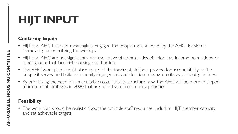## **HIJT INPUT**

### **Centering Equity**

- HIJT and AHC have not meaningfully engaged the people most affected by the AHC decision in formulating or prioritizing the work plan
- HIJT and AHC are not significantly representative of communities of color, low-income populations, or other groups that face high housing cost burden
- The AHC work plan should place equity at the forefront, define a process for accountability to the people it serves, and build community engagement and decision-making into its way of doing business
- By prioritizing the need for an equitable accountability structure now, the AHC will be more equipped to implement strategies in 2020 that are reflective of community priorities

### **Feasibility**

• The work plan should be realistic about the available staff resources, including HIJT member capacity and set achievable targets.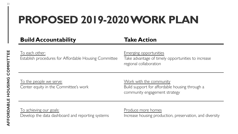## **PROPOSED 2019-2020 WORK PLAN**

**Build Accountability Take Action**

To each other:

Establish procedures for Affordable Housing Committee

Emerging opportunities

Take advantage of timely opportunities to increase regional collaboration

To the people we serve: Center equity in the Committee's work Work with the community Build support for affordable housing through a community engagement strategy

To achieving our goals: Develop the data dashboard and reporting systems Produce more homes

Increase housing production, preservation, and diversity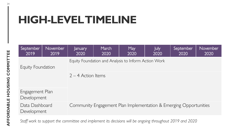## **HIGH-LEVEL TIMELINE**

| September<br>2019                                                                                  | November<br>2019 | January<br>2020                                      | March<br>2020 | May<br>2020 | July<br>2020 | September<br>2020 | November<br>2020 |
|----------------------------------------------------------------------------------------------------|------------------|------------------------------------------------------|---------------|-------------|--------------|-------------------|------------------|
| Equity Foundation                                                                                  |                  | Equity Foundation and Analysis to Inform Action Work |               |             |              |                   |                  |
|                                                                                                    |                  | $2 - 4$ Action Items                                 |               |             |              |                   |                  |
| Engagement Plan<br>Development                                                                     |                  |                                                      |               |             |              |                   |                  |
| Data Dashboard<br>Community Engagement Plan Implementation & Emerging Opportunities<br>Development |                  |                                                      |               |             |              |                   |                  |

*Staff work to support the committee and implement its decisions will be ongoing throughout 2019 and 2020*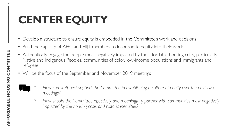## **CENTER EQUITY**

- Develop a structure to ensure equity is embedded in the Committee's work and decisions
- Build the capacity of AHC and HIJT members to incorporate equity into their work
- Authentically engage the people most negatively impacted by the affordable housing crisis, particularly Native and Indigenous Peoples, communities of color, low-income populations and immigrants and refugees
- Will be the focus of the September and November 2019 meetings
	- *1. How can staff best support the Committee in establishing a culture of equity over the next two meetings?*
	- *2. How should the Committee effectively and meaningfully partner with communities most negatively impacted by the housing crisis and historic inequities?*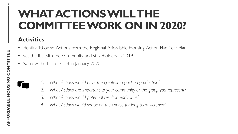## **WHAT ACTIONS WILL THE COMMITTEE WORK ON IN 2020?**

### **Activities**

- Identify 10 or so Actions from the Regional Affordable Housing Action Five Year Plan
- Vet the list with the community and stakeholders in 2019
- Narrow the list to  $2 4$  in January 2020
- 
- *1. What Actions would have the greatest impact on production?*
- *2. What Actions are important to your community or the group you represent?*
- *3. What Actions would potential result in early wins?*
- *4. What Actions would set us on the course for long-term victories?*